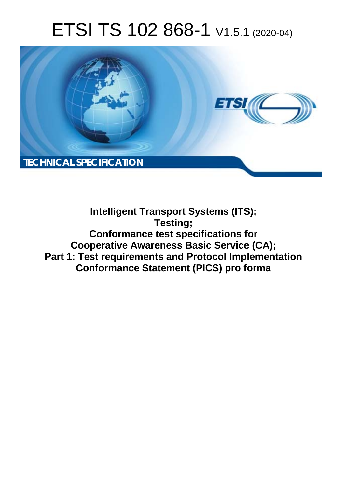# ETSI TS 102 868-1 V1.5.1 (2020-04)



**Intelligent Transport Systems (ITS); Testing; Conformance test specifications for Cooperative Awareness Basic Service (CA); Part 1: Test requirements and Protocol Implementation Conformance Statement (PICS) pro forma**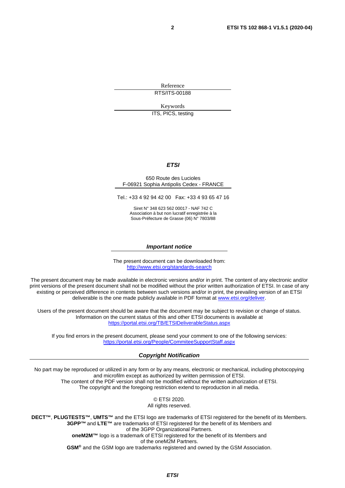Reference RTS/ITS-00188

Keywords

ITS, PICS, testing

#### *ETSI*

#### 650 Route des Lucioles F-06921 Sophia Antipolis Cedex - FRANCE

Tel.: +33 4 92 94 42 00 Fax: +33 4 93 65 47 16

Siret N° 348 623 562 00017 - NAF 742 C Association à but non lucratif enregistrée à la Sous-Préfecture de Grasse (06) N° 7803/88

#### *Important notice*

The present document can be downloaded from: <http://www.etsi.org/standards-search>

The present document may be made available in electronic versions and/or in print. The content of any electronic and/or print versions of the present document shall not be modified without the prior written authorization of ETSI. In case of any existing or perceived difference in contents between such versions and/or in print, the prevailing version of an ETSI deliverable is the one made publicly available in PDF format at [www.etsi.org/deliver](http://www.etsi.org/deliver).

Users of the present document should be aware that the document may be subject to revision or change of status. Information on the current status of this and other ETSI documents is available at <https://portal.etsi.org/TB/ETSIDeliverableStatus.aspx>

If you find errors in the present document, please send your comment to one of the following services: <https://portal.etsi.org/People/CommiteeSupportStaff.aspx>

#### *Copyright Notification*

No part may be reproduced or utilized in any form or by any means, electronic or mechanical, including photocopying and microfilm except as authorized by written permission of ETSI. The content of the PDF version shall not be modified without the written authorization of ETSI. The copyright and the foregoing restriction extend to reproduction in all media.

> © ETSI 2020. All rights reserved.

**DECT™**, **PLUGTESTS™**, **UMTS™** and the ETSI logo are trademarks of ETSI registered for the benefit of its Members. **3GPP™** and **LTE™** are trademarks of ETSI registered for the benefit of its Members and of the 3GPP Organizational Partners. **oneM2M™** logo is a trademark of ETSI registered for the benefit of its Members and of the oneM2M Partners. **GSM®** and the GSM logo are trademarks registered and owned by the GSM Association.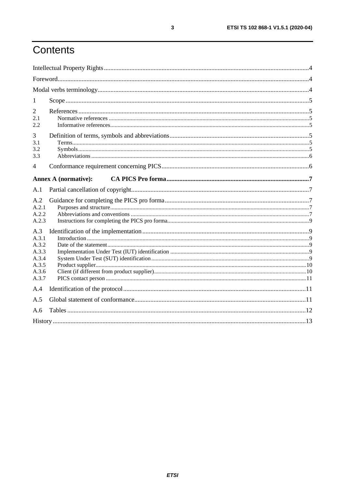# Contents

| 1                                                                  |                             |  |
|--------------------------------------------------------------------|-----------------------------|--|
| 2<br>2.1<br>2.2                                                    |                             |  |
| 3<br>3.1<br>3.2<br>3.3                                             |                             |  |
| 4                                                                  |                             |  |
|                                                                    | <b>Annex A (normative):</b> |  |
| A.1                                                                |                             |  |
| A.2<br>A.2.1<br>A.2.2<br>A.2.3                                     |                             |  |
| A.3<br>A.3.1<br>A.3.2<br>A.3.3<br>A.3.4<br>A.3.5<br>A.3.6<br>A.3.7 |                             |  |
| A.4                                                                |                             |  |
| A.5                                                                |                             |  |
| A.6                                                                |                             |  |
|                                                                    |                             |  |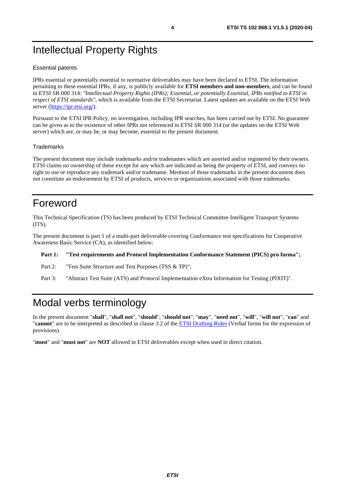# <span id="page-3-0"></span>Intellectual Property Rights

#### Essential patents

IPRs essential or potentially essential to normative deliverables may have been declared to ETSI. The information pertaining to these essential IPRs, if any, is publicly available for **ETSI members and non-members**, and can be found in ETSI SR 000 314: *"Intellectual Property Rights (IPRs); Essential, or potentially Essential, IPRs notified to ETSI in respect of ETSI standards"*, which is available from the ETSI Secretariat. Latest updates are available on the ETSI Web server (<https://ipr.etsi.org/>).

Pursuant to the ETSI IPR Policy, no investigation, including IPR searches, has been carried out by ETSI. No guarantee can be given as to the existence of other IPRs not referenced in ETSI SR 000 314 (or the updates on the ETSI Web server) which are, or may be, or may become, essential to the present document.

#### **Trademarks**

The present document may include trademarks and/or tradenames which are asserted and/or registered by their owners. ETSI claims no ownership of these except for any which are indicated as being the property of ETSI, and conveys no right to use or reproduce any trademark and/or tradename. Mention of those trademarks in the present document does not constitute an endorsement by ETSI of products, services or organizations associated with those trademarks.

## Foreword

This Technical Specification (TS) has been produced by ETSI Technical Committee Intelligent Transport Systems (ITS).

The present document is part 1 of a multi-part deliverable covering Conformance test specifications for Cooperative Awareness Basic Service (CA), as identified below:

#### **Part 1: "Test requirements and Protocol Implementation Conformance Statement (PICS) pro forma";**

Part 2: "Test Suite Structure and Test Purposes (TSS & TP)";

Part 3: "Abstract Test Suite (ATS) and Protocol Implementation eXtra Information for Testing (PIXIT)".

# Modal verbs terminology

In the present document "**shall**", "**shall not**", "**should**", "**should not**", "**may**", "**need not**", "**will**", "**will not**", "**can**" and "**cannot**" are to be interpreted as described in clause 3.2 of the [ETSI Drafting Rules](https://portal.etsi.org/Services/editHelp!/Howtostart/ETSIDraftingRules.aspx) (Verbal forms for the expression of provisions).

"**must**" and "**must not**" are **NOT** allowed in ETSI deliverables except when used in direct citation.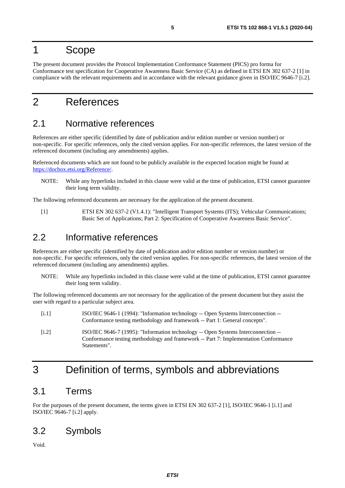### <span id="page-4-0"></span>1 Scope

The present document provides the Protocol Implementation Conformance Statement (PICS) pro forma for Conformance test specification for Cooperative Awareness Basic Service (CA) as defined in ETSI EN 302 637-2 [1] in compliance with the relevant requirements and in accordance with the relevant guidance given in ISO/IEC 9646-7 [i.2].

### 2 References

### 2.1 Normative references

References are either specific (identified by date of publication and/or edition number or version number) or non-specific. For specific references, only the cited version applies. For non-specific references, the latest version of the referenced document (including any amendments) applies.

Referenced documents which are not found to be publicly available in the expected location might be found at <https://docbox.etsi.org/Reference/>.

NOTE: While any hyperlinks included in this clause were valid at the time of publication, ETSI cannot guarantee their long term validity.

The following referenced documents are necessary for the application of the present document.

[1] ETSI EN 302 637-2 (V1.4.1): "Intelligent Transport Systems (ITS); Vehicular Communications; Basic Set of Applications; Part 2: Specification of Cooperative Awareness Basic Service".

### 2.2 Informative references

References are either specific (identified by date of publication and/or edition number or version number) or non-specific. For specific references, only the cited version applies. For non-specific references, the latest version of the referenced document (including any amendments) applies.

NOTE: While any hyperlinks included in this clause were valid at the time of publication, ETSI cannot guarantee their long term validity.

The following referenced documents are not necessary for the application of the present document but they assist the user with regard to a particular subject area.

- [i.1] ISO/IEC 9646-1 (1994): "Information technology -- Open Systems Interconnection -- Conformance testing methodology and framework -- Part 1: General concepts".
- [i.2] ISO/IEC 9646-7 (1995): "Information technology -- Open Systems Interconnection -- Conformance testing methodology and framework -- Part 7: Implementation Conformance Statements".

# 3 Definition of terms, symbols and abbreviations

### 3.1 Terms

For the purposes of the present document, the terms given in ETSI EN 302 637-2 [1], ISO/IEC 9646-1 [i.1] and ISO/IEC 9646-7 [i.2] apply.

### 3.2 Symbols

Void.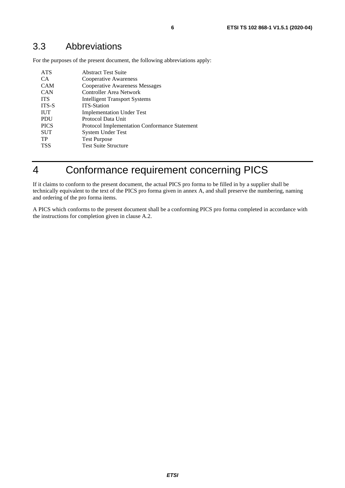<span id="page-5-0"></span>For the purposes of the present document, the following abbreviations apply:

| <b>ATS</b>  | <b>Abstract Test Suite</b>                           |
|-------------|------------------------------------------------------|
| CA          | Cooperative Awareness                                |
| <b>CAM</b>  | <b>Cooperative Awareness Messages</b>                |
| <b>CAN</b>  | Controller Area Network                              |
| <b>ITS</b>  | <b>Intelligent Transport Systems</b>                 |
| ITS-S       | <b>ITS-Station</b>                                   |
| <b>IUT</b>  | <b>Implementation Under Test</b>                     |
| <b>PDU</b>  | Protocol Data Unit                                   |
| <b>PICS</b> | <b>Protocol Implementation Conformance Statement</b> |
| <b>SUT</b>  | System Under Test                                    |
| TP          | <b>Test Purpose</b>                                  |
| <b>TSS</b>  | <b>Test Suite Structure</b>                          |
|             |                                                      |

# 4 Conformance requirement concerning PICS

If it claims to conform to the present document, the actual PICS pro forma to be filled in by a supplier shall be technically equivalent to the text of the PICS pro forma given in annex A, and shall preserve the numbering, naming and ordering of the pro forma items.

A PICS which conforms to the present document shall be a conforming PICS pro forma completed in accordance with the instructions for completion given in clause A.2.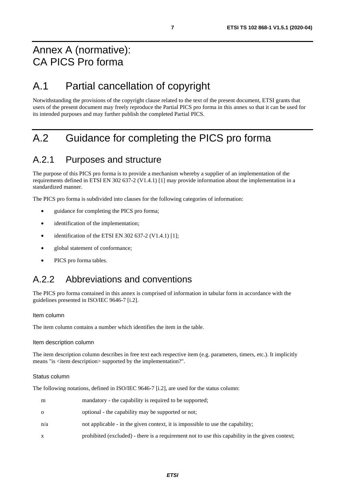## <span id="page-6-0"></span>Annex A (normative): CA PICS Pro forma

# A.1 Partial cancellation of copyright

Notwithstanding the provisions of the copyright clause related to the text of the present document, ETSI grants that users of the present document may freely reproduce the Partial PICS pro forma in this annex so that it can be used for its intended purposes and may further publish the completed Partial PICS.

# A.2 Guidance for completing the PICS pro forma

### A.2.1 Purposes and structure

The purpose of this PICS pro forma is to provide a mechanism whereby a supplier of an implementation of the requirements defined in ETSI EN 302 637-2 (V1.4.1) [\[1](#page-4-0)] may provide information about the implementation in a standardized manner.

The PICS pro forma is subdivided into clauses for the following categories of information:

- guidance for completing the PICS pro forma;
- identification of the implementation;
- identification of the ETSI EN 302 637-2 (V1.4.1) [\[1](#page-4-0)];
- global statement of conformance;
- PICS pro forma tables.

### A.2.2 Abbreviations and conventions

The PICS pro forma contained in this annex is comprised of information in tabular form in accordance with the guidelines presented in ISO/IEC 9646-7 [[i.2](#page-4-0)].

#### Item column

The item column contains a number which identifies the item in the table.

#### Item description column

The item description column describes in free text each respective item (e.g. parameters, timers, etc.). It implicitly means "is <item description> supported by the implementation?".

#### Status column

The following notations, defined in ISO/IEC 9646-7 [\[i.2](#page-4-0)], are used for the status column:

| m        | mandatory - the capability is required to be supported;                                         |
|----------|-------------------------------------------------------------------------------------------------|
| $\Omega$ | optional - the capability may be supported or not;                                              |
| n/a      | not applicable - in the given context, it is impossible to use the capability;                  |
| X        | prohibited (excluded) - there is a requirement not to use this capability in the given context; |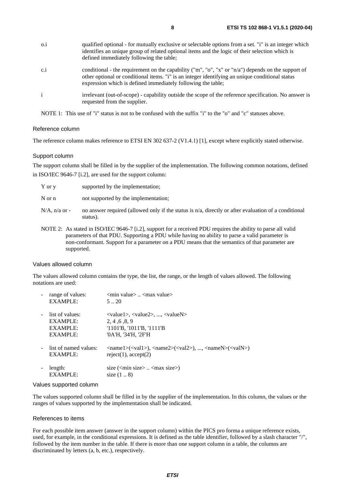| $0.\dot{1}$  | qualified optional - for mutually exclusive or selectable options from a set. "i" is an integer which<br>identifies an unique group of related optional items and the logic of their selection which is<br>defined immediately following the table;                   |
|--------------|-----------------------------------------------------------------------------------------------------------------------------------------------------------------------------------------------------------------------------------------------------------------------|
| c.i          | conditional - the requirement on the capability ("m", "o", "x" or "n/a") depends on the support of<br>other optional or conditional items. "i" is an integer identifying an unique conditional status<br>expression which is defined immediately following the table; |
| $\mathbf{i}$ | irrelevant (out-of-scope) - capability outside the scope of the reference specification. No answer is<br>requested from the supplier.                                                                                                                                 |

NOTE 1: This use of "i" status is not to be confused with the suffix "i" to the "o" and "c" statuses above.

#### Reference column

The reference column makes reference to ETSI EN 302 637-2 (V1.4.1) [\[1](#page-4-0)], except where explicitly stated otherwise.

#### Support column

The support column shall be filled in by the supplier of the implementation. The following common notations, defined in ISO/IEC 9646-7 [\[i.2\]](#page-4-0), are used for the support column:

| Y or y           | supported by the implementation;                                                                                        |
|------------------|-------------------------------------------------------------------------------------------------------------------------|
| N or n           | not supported by the implementation;                                                                                    |
| $N/A$ , n/a or - | no answer required (allowed only if the status is n/a, directly or after evaluation of a conditional<br>status).        |
|                  | NOTE $2^{\circ}$ . As stated in ISO/IEC 9646-7 [i 2] support for a received PDI requires the ability to parse all valid |

NOTE 2: As stated in ISO/IEC 9646-7 [\[i.2](#page-4-0)], support for a received PDU requires the ability to parse all valid parameters of that PDU. Supporting a PDU while having no ability to parse a valid parameter is non-conformant. Support for a parameter on a PDU means that the semantics of that parameter are supported.

#### Values allowed column

The values allowed column contains the type, the list, the range, or the length of values allowed. The following notations are used:

| range of values:                  | $\leq$ min value $>$ $\leq$ max value $>$                                                                                                                                                                         |
|-----------------------------------|-------------------------------------------------------------------------------------------------------------------------------------------------------------------------------------------------------------------|
| <b>EXAMPLE:</b>                   | 520                                                                                                                                                                                                               |
| list of values:                   | $\langle \text{value1}\rangle$ , $\langle \text{value2}\rangle$ , , $\langle \text{valueN}\rangle$                                                                                                                |
| EXAMPLE:                          | 2, 4, 6, 8, 9                                                                                                                                                                                                     |
| EXAMPLE:                          | '1101'B, '1011'B, '1111'B                                                                                                                                                                                         |
| <b>EXAMPLE:</b>                   | '0A'H, '34'H, '2F'H                                                                                                                                                                                               |
| list of named values:<br>EXAMPLE: | $\langle \text{name1}\rangle(\langle \text{value1}\rangle)$ , $\langle \text{name2}\rangle(\langle \text{value1}\rangle)$ , , $\langle \text{nameN}\rangle(\langle \text{value1}\rangle)$<br>reject(1), accept(2) |
| length:<br><b>EXAMPLE:</b>        | size $(\text{cm} \cdot \text{size} \times \text{cm} \cdot \text{max} \cdot \text{size})$<br>size $(18)$                                                                                                           |

#### Values supported column

The values supported column shall be filled in by the supplier of the implementation. In this column, the values or the ranges of values supported by the implementation shall be indicated.

#### References to items

For each possible item answer (answer in the support column) within the PICS pro forma a unique reference exists, used, for example, in the conditional expressions. It is defined as the table identifier, followed by a slash character "/", followed by the item number in the table. If there is more than one support column in a table, the columns are discriminated by letters (a, b, etc.), respectively.

*ETSI*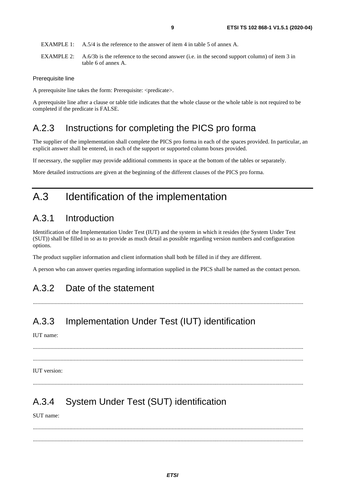- <span id="page-8-0"></span>EXAMPLE 1: A.5/4 is the reference to the answer of item 4 in table 5 of annex A.
- EXAMPLE 2: A.6/3b is the reference to the second answer (i.e. in the second support column) of item 3 in table 6 of annex A.

#### Prerequisite line

A prerequisite line takes the form: Prerequisite: <predicate>.

A prerequisite line after a clause or table title indicates that the whole clause or the whole table is not required to be completed if the predicate is FALSE.

### A.2.3 Instructions for completing the PICS pro forma

The supplier of the implementation shall complete the PICS pro forma in each of the spaces provided. In particular, an explicit answer shall be entered, in each of the support or supported column boxes provided.

If necessary, the supplier may provide additional comments in space at the bottom of the tables or separately.

More detailed instructions are given at the beginning of the different clauses of the PICS pro forma.

### A.3 Identification of the implementation

### A.3.1 Introduction

Identification of the Implementation Under Test (IUT) and the system in which it resides (the System Under Test (SUT)) shall be filled in so as to provide as much detail as possible regarding version numbers and configuration options.

The product supplier information and client information shall both be filled in if they are different.

A person who can answer queries regarding information supplied in the PICS shall be named as the contact person.

### A.3.2 Date of the statement

.........................................................................................................................................................................................

### A.3.3 Implementation Under Test (IUT) identification

IUT name:

 ......................................................................................................................................................................................... .........................................................................................................................................................................................

#### IUT version:

### A.3.4 System Under Test (SUT) identification

SUT name:

 ......................................................................................................................................................................................... .........................................................................................................................................................................................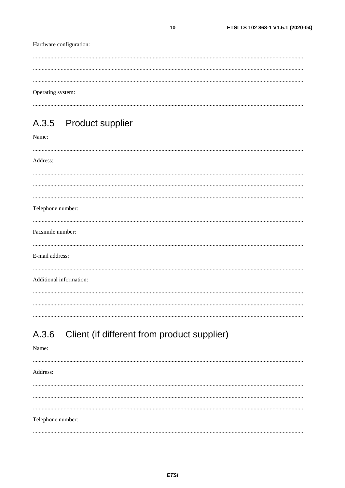<span id="page-9-0"></span>

| Hardware configuration:         |
|---------------------------------|
|                                 |
| Operating system:               |
| A.3.5 Product supplier<br>Name: |
| Address:                        |
|                                 |
|                                 |
| Telephone number:               |
| Facsimile number:               |
| E-mail address:                 |
| Additional information:         |

# A.3.6 Client (if different from product supplier)

| Name:             |  |
|-------------------|--|
|                   |  |
| Address:          |  |
|                   |  |
|                   |  |
|                   |  |
|                   |  |
| Telephone number: |  |
|                   |  |
|                   |  |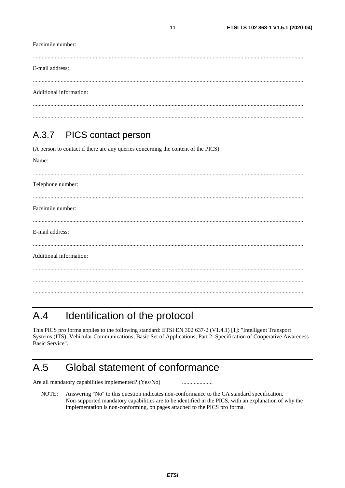<span id="page-10-0"></span>

| Facsimile number:<br>.  |  |
|-------------------------|--|
| E-mail address:         |  |
| Additional information: |  |
|                         |  |

 $11$ 

#### $A.3.7$ **PICS** contact person

(A person to contact if there are any queries concerning the content of the PICS)

Name:

| Telephone number:       |
|-------------------------|
| Facsimile number:       |
| E-mail address:         |
| Additional information: |
|                         |
|                         |

#### Identification of the protocol  $A.4$

This PICS pro forma applies to the following standard: ETSI EN 302 637-2 (V1.4.1) [1]: "Intelligent Transport Systems (ITS); Vehicular Communications; Basic Set of Applications; Part 2: Specification of Cooperative Awareness Basic Service".

#### $A.5$ Global statement of conformance

Are all mandatory capabilities implemented? (Yes/No)

Answering "No" to this question indicates non-conformance to the CA standard specification. NOTE: Non-supported mandatory capabilities are to be identified in the PICS, with an explanation of why the implementation is non-conforming, on pages attached to the PICS pro forma.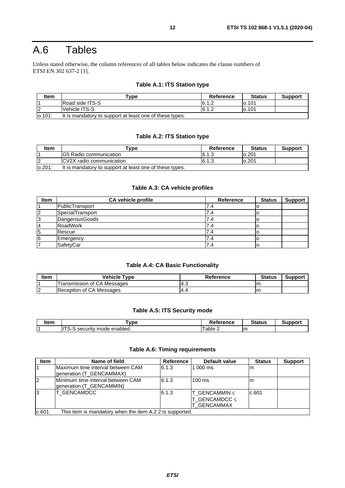# <span id="page-11-0"></span>A.6 Tables

Unless stated otherwise, the column references of all tables below indicates the clause numbers of ETSI EN 302 637-2 [\[1\]](#page-4-0).

#### **Table A.1: ITS Station type**

| <b>Item</b> | $\mathbf{v}$ pe                                         | Reference | <b>Status</b> | <b>Support</b> |
|-------------|---------------------------------------------------------|-----------|---------------|----------------|
|             | Road side ITS-S                                         | 6.1.2     | lo.101        |                |
|             | Vehicle ITS-S                                           | 6.1.2     | lo.101        |                |
| 0.101       | It is mandatory to support at least one of these types. |           |               |                |

#### **Table A.2: ITS Station type**

| <b>Item</b> | $rV$ pe                                                 | Reference | <b>Status</b> | <b>Support</b> |
|-------------|---------------------------------------------------------|-----------|---------------|----------------|
|             | IG5 Radio communication                                 | 6.1.3     | 0.201         |                |
| 2           | CV2X radio communication                                | 6.1.3     | 0.201         |                |
| lo.201:     | It is mandatory to support at least one of these types. |           |               |                |

#### **Table A.3: CA vehicle profiles**

| <b>Item</b> | <b>CA vehicle profile</b> | <b>Reference</b> | <b>Status</b> | <b>Support</b> |
|-------------|---------------------------|------------------|---------------|----------------|
|             | PublicTransport           | 4.'              | ιU            |                |
| 2           | SpecialTransport          | 7.4              | O             |                |
| 3           | DangerousGoods            | 7.4              | O             |                |
| 14          | <b>RoadWork</b>           | 7.4              | O             |                |
| 5           | Rescue                    | 7.4              |               |                |
| 16          | Emergency                 | 4.'              | U             |                |
|             | SafetyCar                 | 7.4              | ΙC            |                |

#### **Table A.4: CA Basic Functionality**

| ltem            | Vehicle Tvpe                | Reference | <b>Status</b> | Support |
|-----------------|-----------------------------|-----------|---------------|---------|
|                 | Transmission of CA Messages | ن.4       |               |         |
| $\sqrt{2}$<br>L | of CA Messages<br>Reception |           |               |         |

#### **Table A.5: ITS Security mode**

| linm<br>ונסוו | vpe                                                               | <br>rence<br>-- | $\sim$ $\sim$ $\sim$ $\sim$ | . |
|---------------|-------------------------------------------------------------------|-----------------|-----------------------------|---|
|               | $- - -$<br>enabled<br>mode<br>. .<br>ser.<br>:LIFITV<br>--<br>. . | able            | Im                          |   |

#### **Table A.6: Timing requirements**

| <b>Item</b>    | Name of field                                                 | Reference | Default value                                      | <b>Status</b> | <b>Support</b> |
|----------------|---------------------------------------------------------------|-----------|----------------------------------------------------|---------------|----------------|
|                | Maximum time interval between CAM<br>generation (T_GENCAMMAX) | 6.1.3     | 1 000 ms                                           | m             |                |
| l <sub>2</sub> | Minimum time interval between CAM<br>generation (T_GENCAMMIN) | 6.1.3     | $100 \text{ ms}$                                   | m             |                |
| 3              | T GENCAMDCC                                                   | 6.1.3     | T GENCAMMIN $\leq$<br>T_GENCAMDCC ≤<br>T GENCAMMAX | c.601         |                |
| c.601:         | This item is mandatory when the item A.2.2 is supported.      |           |                                                    |               |                |